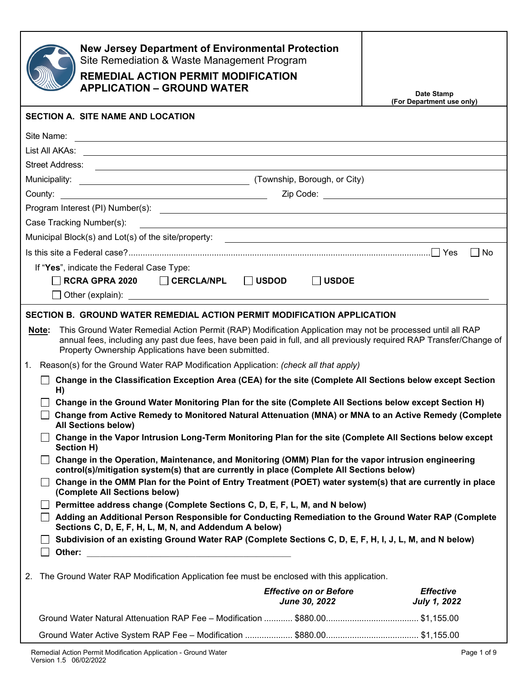| <b>New Jersey Department of Environmental Protection</b><br>Site Remediation & Waste Management Program<br><b>REMEDIAL ACTION PERMIT MODIFICATION</b><br><b>APPLICATION - GROUND WATER</b>                                                                                                                                                                                                                                                                               | Date Stamp<br>(For Department use only) |
|--------------------------------------------------------------------------------------------------------------------------------------------------------------------------------------------------------------------------------------------------------------------------------------------------------------------------------------------------------------------------------------------------------------------------------------------------------------------------|-----------------------------------------|
| <b>SECTION A. SITE NAME AND LOCATION</b>                                                                                                                                                                                                                                                                                                                                                                                                                                 |                                         |
| Site Name:                                                                                                                                                                                                                                                                                                                                                                                                                                                               |                                         |
| List All AKAs: <u>Contract of the Case of the Case of the Case of the Case of the Case of the Case of the Case of the Case of the Case of the Case of the Case of the Case of the Case of the Case of the Case of the Case of th</u>                                                                                                                                                                                                                                     |                                         |
|                                                                                                                                                                                                                                                                                                                                                                                                                                                                          |                                         |
|                                                                                                                                                                                                                                                                                                                                                                                                                                                                          |                                         |
|                                                                                                                                                                                                                                                                                                                                                                                                                                                                          |                                         |
|                                                                                                                                                                                                                                                                                                                                                                                                                                                                          |                                         |
|                                                                                                                                                                                                                                                                                                                                                                                                                                                                          |                                         |
| Municipal Block(s) and Lot(s) of the site/property: _____________________________                                                                                                                                                                                                                                                                                                                                                                                        |                                         |
|                                                                                                                                                                                                                                                                                                                                                                                                                                                                          | No                                      |
| If "Yes", indicate the Federal Case Type:                                                                                                                                                                                                                                                                                                                                                                                                                                |                                         |
| $RCRA$ GPRA 2020 $\qquad \qquad \Box$ CERCLA/NPL $\qquad \Box$ USDOD<br>$\Box$ USDOE                                                                                                                                                                                                                                                                                                                                                                                     |                                         |
| $\perp$                                                                                                                                                                                                                                                                                                                                                                                                                                                                  |                                         |
| SECTION B. GROUND WATER REMEDIAL ACTION PERMIT MODIFICATION APPLICATION<br>This Ground Water Remedial Action Permit (RAP) Modification Application may not be processed until all RAP<br>Note:<br>annual fees, including any past due fees, have been paid in full, and all previously required RAP Transfer/Change of<br>Property Ownership Applications have been submitted.<br>1. Reason(s) for the Ground Water RAP Modification Application: (check all that apply) |                                         |
| Change in the Classification Exception Area (CEA) for the site (Complete All Sections below except Section<br>H)                                                                                                                                                                                                                                                                                                                                                         |                                         |
| Change in the Ground Water Monitoring Plan for the site (Complete All Sections below except Section H)<br>Change from Active Remedy to Monitored Natural Attenuation (MNA) or MNA to an Active Remedy (Complete<br><b>All Sections below)</b>                                                                                                                                                                                                                            |                                         |
| Change in the Vapor Intrusion Long-Term Monitoring Plan for the site (Complete All Sections below except<br>Section H)                                                                                                                                                                                                                                                                                                                                                   |                                         |
| Change in the Operation, Maintenance, and Monitoring (OMM) Plan for the vapor intrusion engineering<br>control(s)/mitigation system(s) that are currently in place (Complete All Sections below)                                                                                                                                                                                                                                                                         |                                         |
| Change in the OMM Plan for the Point of Entry Treatment (POET) water system(s) that are currently in place<br>(Complete All Sections below)                                                                                                                                                                                                                                                                                                                              |                                         |
| □ Permittee address change (Complete Sections C, D, E, F, L, M, and N below)                                                                                                                                                                                                                                                                                                                                                                                             |                                         |
| Adding an Additional Person Responsible for Conducting Remediation to the Ground Water RAP (Complete<br>Sections C, D, E, F, H, L, M, N, and Addendum A below)                                                                                                                                                                                                                                                                                                           |                                         |
| Subdivision of an existing Ground Water RAP (Complete Sections C, D, E, F, H, I, J, L, M, and N below)                                                                                                                                                                                                                                                                                                                                                                   |                                         |
| The Ground Water RAP Modification Application fee must be enclosed with this application.<br>2.                                                                                                                                                                                                                                                                                                                                                                          |                                         |
| <b>Effective on or Before</b><br>June 30, 2022                                                                                                                                                                                                                                                                                                                                                                                                                           | <b>Effective</b><br><b>July 1, 2022</b> |
|                                                                                                                                                                                                                                                                                                                                                                                                                                                                          |                                         |
|                                                                                                                                                                                                                                                                                                                                                                                                                                                                          |                                         |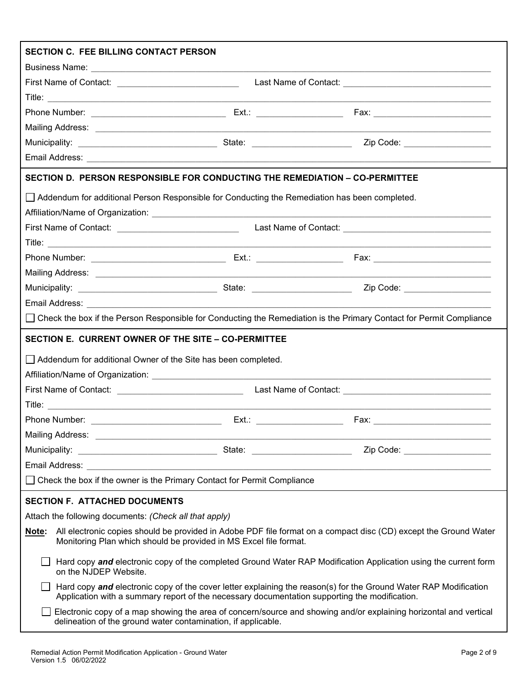| SECTION C. FEE BILLING CONTACT PERSON                                                                                                                                                                             |  |  |  |  |
|-------------------------------------------------------------------------------------------------------------------------------------------------------------------------------------------------------------------|--|--|--|--|
|                                                                                                                                                                                                                   |  |  |  |  |
|                                                                                                                                                                                                                   |  |  |  |  |
|                                                                                                                                                                                                                   |  |  |  |  |
|                                                                                                                                                                                                                   |  |  |  |  |
|                                                                                                                                                                                                                   |  |  |  |  |
|                                                                                                                                                                                                                   |  |  |  |  |
|                                                                                                                                                                                                                   |  |  |  |  |
| SECTION D. PERSON RESPONSIBLE FOR CONDUCTING THE REMEDIATION – CO-PERMITTEE                                                                                                                                       |  |  |  |  |
| □ Addendum for additional Person Responsible for Conducting the Remediation has been completed.                                                                                                                   |  |  |  |  |
|                                                                                                                                                                                                                   |  |  |  |  |
| First Name of Contact: ________________________________  Last Name of Contact: _______________________________                                                                                                    |  |  |  |  |
|                                                                                                                                                                                                                   |  |  |  |  |
|                                                                                                                                                                                                                   |  |  |  |  |
|                                                                                                                                                                                                                   |  |  |  |  |
|                                                                                                                                                                                                                   |  |  |  |  |
|                                                                                                                                                                                                                   |  |  |  |  |
| □ Check the box if the Person Responsible for Conducting the Remediation is the Primary Contact for Permit Compliance                                                                                             |  |  |  |  |
| SECTION E. CURRENT OWNER OF THE SITE - CO-PERMITTEE                                                                                                                                                               |  |  |  |  |
| Addendum for additional Owner of the Site has been completed.                                                                                                                                                     |  |  |  |  |
|                                                                                                                                                                                                                   |  |  |  |  |
|                                                                                                                                                                                                                   |  |  |  |  |
|                                                                                                                                                                                                                   |  |  |  |  |
|                                                                                                                                                                                                                   |  |  |  |  |
|                                                                                                                                                                                                                   |  |  |  |  |
|                                                                                                                                                                                                                   |  |  |  |  |
|                                                                                                                                                                                                                   |  |  |  |  |
| □ Check the box if the owner is the Primary Contact for Permit Compliance                                                                                                                                         |  |  |  |  |
| <b>SECTION F. ATTACHED DOCUMENTS</b>                                                                                                                                                                              |  |  |  |  |
| Attach the following documents: (Check all that apply)                                                                                                                                                            |  |  |  |  |
| All electronic copies should be provided in Adobe PDF file format on a compact disc (CD) except the Ground Water<br>Note:<br>Monitoring Plan which should be provided in MS Excel file format.                    |  |  |  |  |
| Hard copy and electronic copy of the completed Ground Water RAP Modification Application using the current form<br>on the NJDEP Website.                                                                          |  |  |  |  |
| Hard copy and electronic copy of the cover letter explaining the reason(s) for the Ground Water RAP Modification<br>Application with a summary report of the necessary documentation supporting the modification. |  |  |  |  |
| Electronic copy of a map showing the area of concern/source and showing and/or explaining horizontal and vertical<br>delineation of the ground water contamination, if applicable.                                |  |  |  |  |
|                                                                                                                                                                                                                   |  |  |  |  |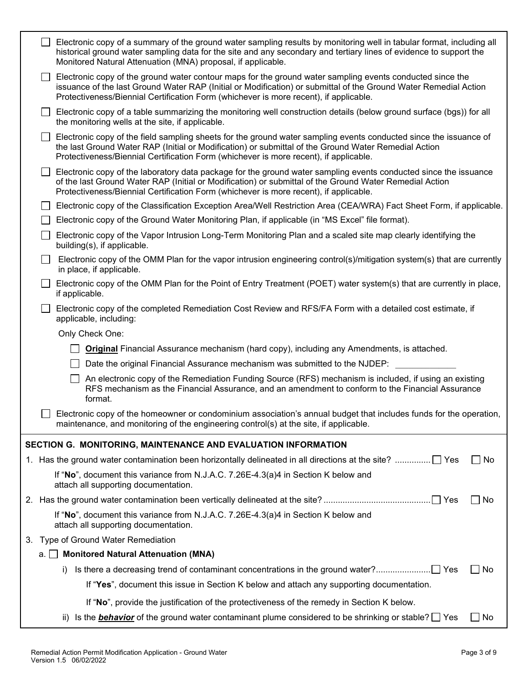|    | Electronic copy of a summary of the ground water sampling results by monitoring well in tabular format, including all<br>historical ground water sampling data for the site and any secondary and tertiary lines of evidence to support the<br>Monitored Natural Attenuation (MNA) proposal, if applicable.            |  |
|----|------------------------------------------------------------------------------------------------------------------------------------------------------------------------------------------------------------------------------------------------------------------------------------------------------------------------|--|
|    | Electronic copy of the ground water contour maps for the ground water sampling events conducted since the<br>issuance of the last Ground Water RAP (Initial or Modification) or submittal of the Ground Water Remedial Action<br>Protectiveness/Biennial Certification Form (whichever is more recent), if applicable. |  |
|    | Electronic copy of a table summarizing the monitoring well construction details (below ground surface (bgs)) for all<br>the monitoring wells at the site, if applicable.                                                                                                                                               |  |
|    | Electronic copy of the field sampling sheets for the ground water sampling events conducted since the issuance of<br>the last Ground Water RAP (Initial or Modification) or submittal of the Ground Water Remedial Action<br>Protectiveness/Biennial Certification Form (whichever is more recent), if applicable.     |  |
|    | Electronic copy of the laboratory data package for the ground water sampling events conducted since the issuance<br>of the last Ground Water RAP (Initial or Modification) or submittal of the Ground Water Remedial Action<br>Protectiveness/Biennial Certification Form (whichever is more recent), if applicable.   |  |
|    | Electronic copy of the Classification Exception Area/Well Restriction Area (CEA/WRA) Fact Sheet Form, if applicable.                                                                                                                                                                                                   |  |
|    | Electronic copy of the Ground Water Monitoring Plan, if applicable (in "MS Excel" file format).                                                                                                                                                                                                                        |  |
|    | Electronic copy of the Vapor Intrusion Long-Term Monitoring Plan and a scaled site map clearly identifying the<br>building(s), if applicable.                                                                                                                                                                          |  |
|    | Electronic copy of the OMM Plan for the vapor intrusion engineering control(s)/mitigation system(s) that are currently<br>in place, if applicable.                                                                                                                                                                     |  |
|    | Electronic copy of the OMM Plan for the Point of Entry Treatment (POET) water system(s) that are currently in place,<br>if applicable.                                                                                                                                                                                 |  |
|    | Electronic copy of the completed Remediation Cost Review and RFS/FA Form with a detailed cost estimate, if<br>applicable, including:                                                                                                                                                                                   |  |
|    | Only Check One:                                                                                                                                                                                                                                                                                                        |  |
|    | <b>Original</b> Financial Assurance mechanism (hard copy), including any Amendments, is attached.                                                                                                                                                                                                                      |  |
|    | Date the original Financial Assurance mechanism was submitted to the NJDEP:                                                                                                                                                                                                                                            |  |
|    | An electronic copy of the Remediation Funding Source (RFS) mechanism is included, if using an existing<br>RFS mechanism as the Financial Assurance, and an amendment to conform to the Financial Assurance<br>format.                                                                                                  |  |
|    | Electronic copy of the homeowner or condominium association's annual budget that includes funds for the operation,<br>maintenance, and monitoring of the engineering control(s) at the site, if applicable.                                                                                                            |  |
|    | SECTION G. MONITORING, MAINTENANCE AND EVALUATION INFORMATION                                                                                                                                                                                                                                                          |  |
|    | 1. Has the ground water contamination been horizontally delineated in all directions at the site?  Yes<br>$\Box$ No                                                                                                                                                                                                    |  |
|    | If "No", document this variance from N.J.A.C. 7.26E-4.3(a)4 in Section K below and<br>attach all supporting documentation.                                                                                                                                                                                             |  |
|    | No                                                                                                                                                                                                                                                                                                                     |  |
|    | If "No", document this variance from N.J.A.C. 7.26E-4.3(a)4 in Section K below and<br>attach all supporting documentation.                                                                                                                                                                                             |  |
|    | 3. Type of Ground Water Remediation                                                                                                                                                                                                                                                                                    |  |
| а. | <b>Monitored Natural Attenuation (MNA)</b>                                                                                                                                                                                                                                                                             |  |
|    | _l No<br>i)                                                                                                                                                                                                                                                                                                            |  |
|    | If "Yes", document this issue in Section K below and attach any supporting documentation.                                                                                                                                                                                                                              |  |
|    | If "No", provide the justification of the protectiveness of the remedy in Section K below.                                                                                                                                                                                                                             |  |
|    | ii) Is the <b>behavior</b> of the ground water contaminant plume considered to be shrinking or stable? $\Box$ Yes<br>_l No                                                                                                                                                                                             |  |
|    |                                                                                                                                                                                                                                                                                                                        |  |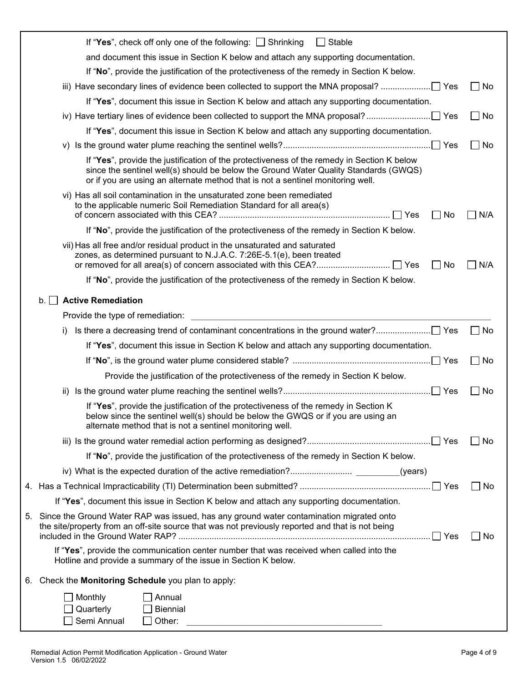| If "Yes", check off only one of the following: $\Box$ Shrinking<br>$\Box$ Stable                                                                                                                                                                                      |                |
|-----------------------------------------------------------------------------------------------------------------------------------------------------------------------------------------------------------------------------------------------------------------------|----------------|
| and document this issue in Section K below and attach any supporting documentation.                                                                                                                                                                                   |                |
| If "No", provide the justification of the protectiveness of the remedy in Section K below.                                                                                                                                                                            |                |
| iii) Have secondary lines of evidence been collected to support the MNA proposal?                                                                                                                                                                                     | $\Box$ No      |
| If "Yes", document this issue in Section K below and attach any supporting documentation.                                                                                                                                                                             |                |
|                                                                                                                                                                                                                                                                       | $\Box$ No      |
| If "Yes", document this issue in Section K below and attach any supporting documentation.                                                                                                                                                                             |                |
|                                                                                                                                                                                                                                                                       | _l No          |
| If "Yes", provide the justification of the protectiveness of the remedy in Section K below<br>since the sentinel well(s) should be below the Ground Water Quality Standards (GWQS)<br>or if you are using an alternate method that is not a sentinel monitoring well. |                |
| vi) Has all soil contamination in the unsaturated zone been remediated<br>to the applicable numeric Soil Remediation Standard for all area(s)<br>No<br>$\blacksquare$                                                                                                 | N/A            |
| If "No", provide the justification of the protectiveness of the remedy in Section K below.                                                                                                                                                                            |                |
| vii) Has all free and/or residual product in the unsaturated and saturated<br>zones, as determined pursuant to N.J.A.C. 7:26E-5.1(e), been treated<br>No<br>$\overline{\phantom{a}}$                                                                                  | N/A            |
| If "No", provide the justification of the protectiveness of the remedy in Section K below.                                                                                                                                                                            |                |
| <b>Active Remediation</b><br>b.1                                                                                                                                                                                                                                      |                |
| Provide the type of remediation:                                                                                                                                                                                                                                      |                |
| I)                                                                                                                                                                                                                                                                    | $\Box$ No      |
| If "Yes", document this issue in Section K below and attach any supporting documentation.                                                                                                                                                                             |                |
|                                                                                                                                                                                                                                                                       | $\sqsupset$ No |
| Provide the justification of the protectiveness of the remedy in Section K below.                                                                                                                                                                                     |                |
|                                                                                                                                                                                                                                                                       | No             |
| If "Yes", provide the justification of the protectiveness of the remedy in Section K<br>below since the sentinel well(s) should be below the GWQS or if you are using an<br>alternate method that is not a sentinel monitoring well.                                  |                |
|                                                                                                                                                                                                                                                                       | No             |
| If "No", provide the justification of the protectiveness of the remedy in Section K below.                                                                                                                                                                            |                |
|                                                                                                                                                                                                                                                                       |                |
|                                                                                                                                                                                                                                                                       | $\Box$ No      |
| If "Yes", document this issue in Section K below and attach any supporting documentation.                                                                                                                                                                             |                |
| 5. Since the Ground Water RAP was issued, has any ground water contamination migrated onto<br>the site/property from an off-site source that was not previously reported and that is not being                                                                        | $\Box$ No      |
| If "Yes", provide the communication center number that was received when called into the<br>Hotline and provide a summary of the issue in Section K below.                                                                                                            |                |
| 6. Check the Monitoring Schedule you plan to apply:                                                                                                                                                                                                                   |                |
| Monthly<br>Annual                                                                                                                                                                                                                                                     |                |
| Quarterly<br><b>Biennial</b>                                                                                                                                                                                                                                          |                |
| Semi Annual<br>Other:                                                                                                                                                                                                                                                 |                |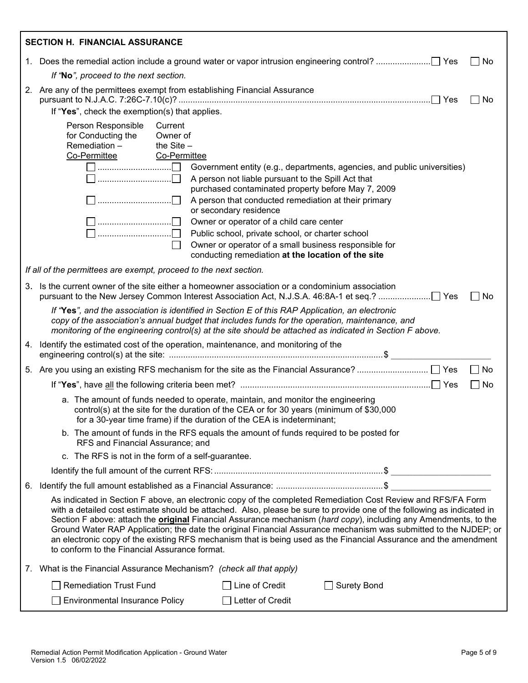| <b>SECTION H. FINANCIAL ASSURANCE</b>                                                                                                                                                                                                                                                                                                                                                                                                                                                                                                                                                                                                                      |           |
|------------------------------------------------------------------------------------------------------------------------------------------------------------------------------------------------------------------------------------------------------------------------------------------------------------------------------------------------------------------------------------------------------------------------------------------------------------------------------------------------------------------------------------------------------------------------------------------------------------------------------------------------------------|-----------|
| $\blacksquare$                                                                                                                                                                                                                                                                                                                                                                                                                                                                                                                                                                                                                                             | No        |
| If "No", proceed to the next section.                                                                                                                                                                                                                                                                                                                                                                                                                                                                                                                                                                                                                      |           |
| 2. Are any of the permittees exempt from establishing Financial Assurance                                                                                                                                                                                                                                                                                                                                                                                                                                                                                                                                                                                  | $\Box$ No |
| If "Yes", check the exemption(s) that applies.                                                                                                                                                                                                                                                                                                                                                                                                                                                                                                                                                                                                             |           |
| Person Responsible<br>Current<br>for Conducting the<br>Owner of<br>Remediation-<br>the $Site -$<br>Co-Permittee<br><b>Co-Permittee</b><br>$\Box$ $\Box$<br>Government entity (e.g., departments, agencies, and public universities)<br>A person not liable pursuant to the Spill Act that<br>purchased contaminated property before May 7, 2009<br>$\Box$ $\Box$<br>A person that conducted remediation at their primary                                                                                                                                                                                                                                   |           |
| or secondary residence                                                                                                                                                                                                                                                                                                                                                                                                                                                                                                                                                                                                                                     |           |
| $\Box$ $\Box$<br>Owner or operator of a child care center<br>$\Box$ $\Box$<br>Public school, private school, or charter school<br>Owner or operator of a small business responsible for<br>conducting remediation at the location of the site                                                                                                                                                                                                                                                                                                                                                                                                              |           |
| If all of the permittees are exempt, proceed to the next section.                                                                                                                                                                                                                                                                                                                                                                                                                                                                                                                                                                                          |           |
| 3. Is the current owner of the site either a homeowner association or a condominium association<br>$\blacksquare$                                                                                                                                                                                                                                                                                                                                                                                                                                                                                                                                          | No        |
| If "Yes", and the association is identified in Section E of this RAP Application, an electronic<br>copy of the association's annual budget that includes funds for the operation, maintenance, and<br>monitoring of the engineering control(s) at the site should be attached as indicated in Section F above.                                                                                                                                                                                                                                                                                                                                             |           |
| 4. Identify the estimated cost of the operation, maintenance, and monitoring of the                                                                                                                                                                                                                                                                                                                                                                                                                                                                                                                                                                        |           |
| $\overline{\phantom{a}}$                                                                                                                                                                                                                                                                                                                                                                                                                                                                                                                                                                                                                                   | No        |
| $\blacksquare$                                                                                                                                                                                                                                                                                                                                                                                                                                                                                                                                                                                                                                             | No        |
| a. The amount of funds needed to operate, maintain, and monitor the engineering<br>control(s) at the site for the duration of the CEA or for 30 years (minimum of \$30,000<br>for a 30-year time frame) if the duration of the CEA is indeterminant;                                                                                                                                                                                                                                                                                                                                                                                                       |           |
| b. The amount of funds in the RFS equals the amount of funds required to be posted for<br>RFS and Financial Assurance; and                                                                                                                                                                                                                                                                                                                                                                                                                                                                                                                                 |           |
| c. The RFS is not in the form of a self-guarantee.                                                                                                                                                                                                                                                                                                                                                                                                                                                                                                                                                                                                         |           |
|                                                                                                                                                                                                                                                                                                                                                                                                                                                                                                                                                                                                                                                            |           |
|                                                                                                                                                                                                                                                                                                                                                                                                                                                                                                                                                                                                                                                            |           |
| As indicated in Section F above, an electronic copy of the completed Remediation Cost Review and RFS/FA Form<br>with a detailed cost estimate should be attached. Also, please be sure to provide one of the following as indicated in<br>Section F above: attach the <b>original</b> Financial Assurance mechanism (hard copy), including any Amendments, to the<br>Ground Water RAP Application; the date the original Financial Assurance mechanism was submitted to the NJDEP; or<br>an electronic copy of the existing RFS mechanism that is being used as the Financial Assurance and the amendment<br>to conform to the Financial Assurance format. |           |
| 7. What is the Financial Assurance Mechanism? (check all that apply)                                                                                                                                                                                                                                                                                                                                                                                                                                                                                                                                                                                       |           |
| <b>Remediation Trust Fund</b><br>$\Box$ Line of Credit<br><b>Surety Bond</b>                                                                                                                                                                                                                                                                                                                                                                                                                                                                                                                                                                               |           |
| Letter of Credit<br><b>Environmental Insurance Policy</b>                                                                                                                                                                                                                                                                                                                                                                                                                                                                                                                                                                                                  |           |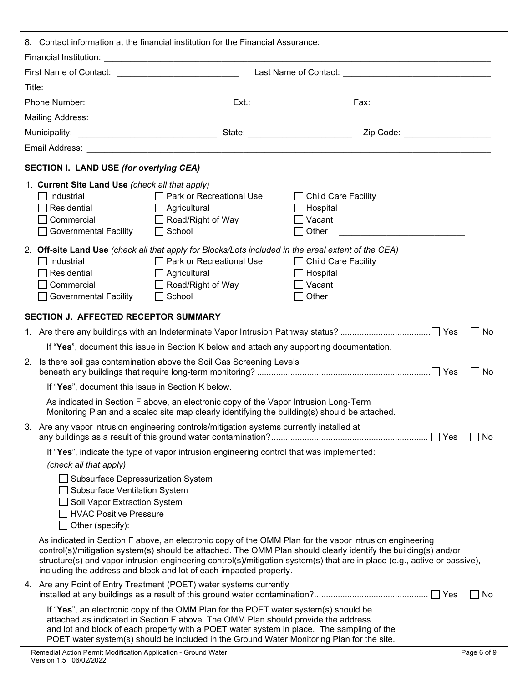|    | 8. Contact information at the financial institution for the Financial Assurance:                                                                               |                                                                                                                                                                                                                                                                                                                                                                    |                                                                                                                                                                                                                                                                                                                                                         |           |  |
|----|----------------------------------------------------------------------------------------------------------------------------------------------------------------|--------------------------------------------------------------------------------------------------------------------------------------------------------------------------------------------------------------------------------------------------------------------------------------------------------------------------------------------------------------------|---------------------------------------------------------------------------------------------------------------------------------------------------------------------------------------------------------------------------------------------------------------------------------------------------------------------------------------------------------|-----------|--|
|    |                                                                                                                                                                |                                                                                                                                                                                                                                                                                                                                                                    |                                                                                                                                                                                                                                                                                                                                                         |           |  |
|    |                                                                                                                                                                |                                                                                                                                                                                                                                                                                                                                                                    |                                                                                                                                                                                                                                                                                                                                                         |           |  |
|    |                                                                                                                                                                |                                                                                                                                                                                                                                                                                                                                                                    |                                                                                                                                                                                                                                                                                                                                                         |           |  |
|    |                                                                                                                                                                |                                                                                                                                                                                                                                                                                                                                                                    |                                                                                                                                                                                                                                                                                                                                                         |           |  |
|    |                                                                                                                                                                |                                                                                                                                                                                                                                                                                                                                                                    |                                                                                                                                                                                                                                                                                                                                                         |           |  |
|    |                                                                                                                                                                |                                                                                                                                                                                                                                                                                                                                                                    |                                                                                                                                                                                                                                                                                                                                                         |           |  |
|    |                                                                                                                                                                |                                                                                                                                                                                                                                                                                                                                                                    |                                                                                                                                                                                                                                                                                                                                                         |           |  |
|    | <b>SECTION I. LAND USE (for overlying CEA)</b>                                                                                                                 |                                                                                                                                                                                                                                                                                                                                                                    |                                                                                                                                                                                                                                                                                                                                                         |           |  |
|    | 1. Current Site Land Use (check all that apply)<br>$\sqcap$ Industrial<br>Residential<br>Commercial<br><b>Governmental Facility</b>                            | $\Box$ Park or Recreational Use<br>$\Box$ Agricultural<br>$\Box$ Road/Right of Way<br>$\Box$ School                                                                                                                                                                                                                                                                | □ Child Care Facility<br>$\Box$ Hospital<br>$\Box$ Vacant<br>Other                                                                                                                                                                                                                                                                                      |           |  |
|    | $\sqcap$ Industrial<br>Residential<br>Commercial<br>Governmental Facility                                                                                      | 2. Off-site Land Use (check all that apply for Blocks/Lots included in the areal extent of the CEA)<br>□ Park or Recreational Use<br>$\Box$ Agricultural<br>$\Box$ Road/Right of Way<br>$\Box$ School                                                                                                                                                              | □ Child Care Facility<br>$\Box$ Hospital<br>$\Box$ Vacant<br>∣ ∣ Other                                                                                                                                                                                                                                                                                  |           |  |
|    | <b>SECTION J. AFFECTED RECEPTOR SUMMARY</b>                                                                                                                    |                                                                                                                                                                                                                                                                                                                                                                    |                                                                                                                                                                                                                                                                                                                                                         |           |  |
|    |                                                                                                                                                                |                                                                                                                                                                                                                                                                                                                                                                    |                                                                                                                                                                                                                                                                                                                                                         | No        |  |
|    |                                                                                                                                                                | If "Yes", document this issue in Section K below and attach any supporting documentation.                                                                                                                                                                                                                                                                          |                                                                                                                                                                                                                                                                                                                                                         |           |  |
| 2. |                                                                                                                                                                | Is there soil gas contamination above the Soil Gas Screening Levels                                                                                                                                                                                                                                                                                                |                                                                                                                                                                                                                                                                                                                                                         | $\Box$ No |  |
|    | If "Yes", document this issue in Section K below.                                                                                                              |                                                                                                                                                                                                                                                                                                                                                                    |                                                                                                                                                                                                                                                                                                                                                         |           |  |
|    |                                                                                                                                                                | As indicated in Section F above, an electronic copy of the Vapor Intrusion Long-Term<br>Monitoring Plan and a scaled site map clearly identifying the building(s) should be attached.                                                                                                                                                                              |                                                                                                                                                                                                                                                                                                                                                         |           |  |
|    |                                                                                                                                                                | 3. Are any vapor intrusion engineering controls/mitigation systems currently installed at                                                                                                                                                                                                                                                                          |                                                                                                                                                                                                                                                                                                                                                         | l No      |  |
|    | (check all that apply)                                                                                                                                         | If "Yes", indicate the type of vapor intrusion engineering control that was implemented:                                                                                                                                                                                                                                                                           |                                                                                                                                                                                                                                                                                                                                                         |           |  |
|    | □ Subsurface Depressurization System<br>□ Subsurface Ventilation System<br>Soil Vapor Extraction System<br>□ HVAC Positive Pressure<br>$\Box$ Other (specify): |                                                                                                                                                                                                                                                                                                                                                                    |                                                                                                                                                                                                                                                                                                                                                         |           |  |
|    |                                                                                                                                                                | including the address and block and lot of each impacted property.                                                                                                                                                                                                                                                                                                 | As indicated in Section F above, an electronic copy of the OMM Plan for the vapor intrusion engineering<br>control(s)/mitigation system(s) should be attached. The OMM Plan should clearly identify the building(s) and/or<br>structure(s) and vapor intrusion engineering control(s)/mitigation system(s) that are in place (e.g., active or passive), |           |  |
|    |                                                                                                                                                                | 4. Are any Point of Entry Treatment (POET) water systems currently                                                                                                                                                                                                                                                                                                 |                                                                                                                                                                                                                                                                                                                                                         | ∣No       |  |
|    |                                                                                                                                                                | If "Yes", an electronic copy of the OMM Plan for the POET water system(s) should be<br>attached as indicated in Section F above. The OMM Plan should provide the address<br>and lot and block of each property with a POET water system in place. The sampling of the<br>POET water system(s) should be included in the Ground Water Monitoring Plan for the site. |                                                                                                                                                                                                                                                                                                                                                         |           |  |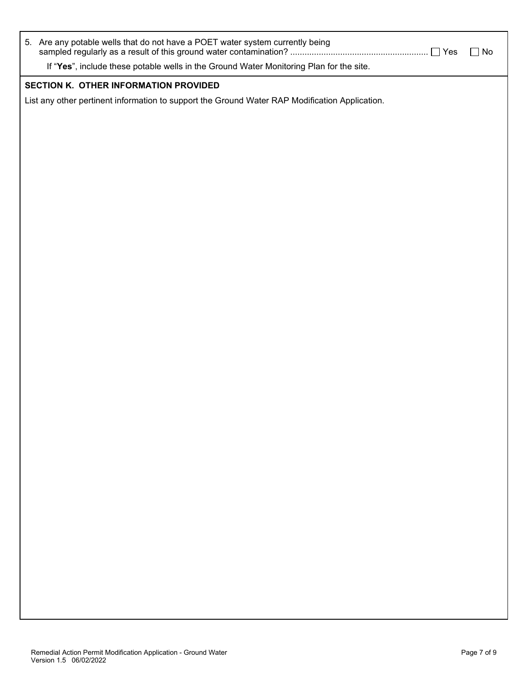| 5. Are any potable wells that do not have a POET water system currently being                  | $\Box$ Yes | $\Box$ No |
|------------------------------------------------------------------------------------------------|------------|-----------|
| If "Yes", include these potable wells in the Ground Water Monitoring Plan for the site.        |            |           |
| SECTION K. OTHER INFORMATION PROVIDED                                                          |            |           |
| List any other pertinent information to support the Ground Water RAP Modification Application. |            |           |
|                                                                                                |            |           |
|                                                                                                |            |           |
|                                                                                                |            |           |
|                                                                                                |            |           |
|                                                                                                |            |           |
|                                                                                                |            |           |
|                                                                                                |            |           |
|                                                                                                |            |           |
|                                                                                                |            |           |
|                                                                                                |            |           |
|                                                                                                |            |           |
|                                                                                                |            |           |
|                                                                                                |            |           |
|                                                                                                |            |           |
|                                                                                                |            |           |
|                                                                                                |            |           |
|                                                                                                |            |           |
|                                                                                                |            |           |
|                                                                                                |            |           |
|                                                                                                |            |           |
|                                                                                                |            |           |
|                                                                                                |            |           |
|                                                                                                |            |           |
|                                                                                                |            |           |
|                                                                                                |            |           |
|                                                                                                |            |           |
|                                                                                                |            |           |
|                                                                                                |            |           |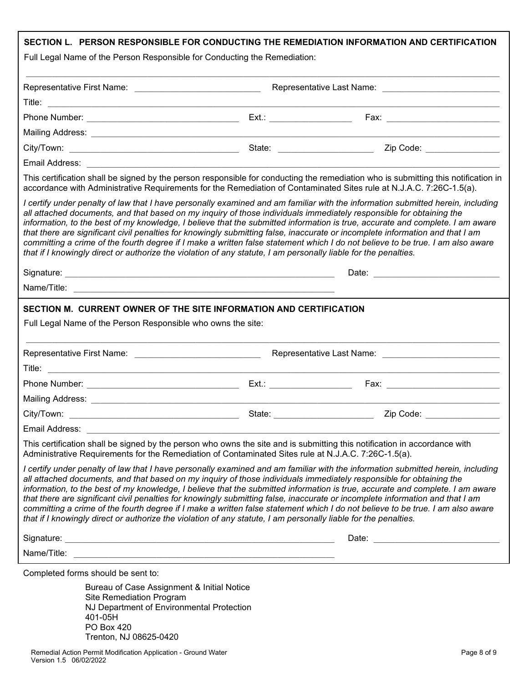| Full Legal Name of the Person Responsible for Conducting the Remediation:                                                                                                                                                              |                                                                                                                      | SECTION L. PERSON RESPONSIBLE FOR CONDUCTING THE REMEDIATION INFORMATION AND CERTIFICATION                                                                                                                                                                                                                                                                                                                                                                                                                                          |
|----------------------------------------------------------------------------------------------------------------------------------------------------------------------------------------------------------------------------------------|----------------------------------------------------------------------------------------------------------------------|-------------------------------------------------------------------------------------------------------------------------------------------------------------------------------------------------------------------------------------------------------------------------------------------------------------------------------------------------------------------------------------------------------------------------------------------------------------------------------------------------------------------------------------|
| Representative First Name: _________________________________                                                                                                                                                                           |                                                                                                                      |                                                                                                                                                                                                                                                                                                                                                                                                                                                                                                                                     |
|                                                                                                                                                                                                                                        |                                                                                                                      |                                                                                                                                                                                                                                                                                                                                                                                                                                                                                                                                     |
|                                                                                                                                                                                                                                        |                                                                                                                      | Fax: _________________________                                                                                                                                                                                                                                                                                                                                                                                                                                                                                                      |
|                                                                                                                                                                                                                                        |                                                                                                                      |                                                                                                                                                                                                                                                                                                                                                                                                                                                                                                                                     |
|                                                                                                                                                                                                                                        |                                                                                                                      | Zip Code: ________________                                                                                                                                                                                                                                                                                                                                                                                                                                                                                                          |
| Email Address: William Management Communication and Communication of the Communication of the Communication of                                                                                                                         |                                                                                                                      |                                                                                                                                                                                                                                                                                                                                                                                                                                                                                                                                     |
| accordance with Administrative Requirements for the Remediation of Contaminated Sites rule at N.J.A.C. 7:26C-1.5(a).                                                                                                                   |                                                                                                                      | This certification shall be signed by the person responsible for conducting the remediation who is submitting this notification in                                                                                                                                                                                                                                                                                                                                                                                                  |
| all attached documents, and that based on my inquiry of those individuals immediately responsible for obtaining the<br>that if I knowingly direct or authorize the violation of any statute, I am personally liable for the penalties. |                                                                                                                      | I certify under penalty of law that I have personally examined and am familiar with the information submitted herein, including<br>information, to the best of my knowledge, I believe that the submitted information is true, accurate and complete. I am aware<br>that there are significant civil penalties for knowingly submitting false, inaccurate or incomplete information and that I am<br>committing a crime of the fourth degree if I make a written false statement which I do not believe to be true. I am also aware |
|                                                                                                                                                                                                                                        |                                                                                                                      | Date: <u>__________________________</u>                                                                                                                                                                                                                                                                                                                                                                                                                                                                                             |
|                                                                                                                                                                                                                                        |                                                                                                                      |                                                                                                                                                                                                                                                                                                                                                                                                                                                                                                                                     |
| Full Legal Name of the Person Responsible who owns the site:                                                                                                                                                                           |                                                                                                                      |                                                                                                                                                                                                                                                                                                                                                                                                                                                                                                                                     |
|                                                                                                                                                                                                                                        |                                                                                                                      |                                                                                                                                                                                                                                                                                                                                                                                                                                                                                                                                     |
|                                                                                                                                                                                                                                        |                                                                                                                      |                                                                                                                                                                                                                                                                                                                                                                                                                                                                                                                                     |
|                                                                                                                                                                                                                                        | Ext.: ________________________                                                                                       |                                                                                                                                                                                                                                                                                                                                                                                                                                                                                                                                     |
|                                                                                                                                                                                                                                        |                                                                                                                      |                                                                                                                                                                                                                                                                                                                                                                                                                                                                                                                                     |
|                                                                                                                                                                                                                                        | State:                                                                                                               | Zip Code:                                                                                                                                                                                                                                                                                                                                                                                                                                                                                                                           |
| Email Address:                                                                                                                                                                                                                         |                                                                                                                      |                                                                                                                                                                                                                                                                                                                                                                                                                                                                                                                                     |
| This certification shall be signed by the person who owns the site and is submitting this notification in accordance with<br>Administrative Requirements for the Remediation of Contaminated Sites rule at N.J.A.C. 7:26C-1.5(a).      |                                                                                                                      |                                                                                                                                                                                                                                                                                                                                                                                                                                                                                                                                     |
| all attached documents, and that based on my inquiry of those individuals immediately responsible for obtaining the<br>that if I knowingly direct or authorize the violation of any statute, I am personally liable for the penalties. |                                                                                                                      | I certify under penalty of law that I have personally examined and am familiar with the information submitted herein, including<br>information, to the best of my knowledge, I believe that the submitted information is true, accurate and complete. I am aware<br>that there are significant civil penalties for knowingly submitting false, inaccurate or incomplete information and that I am<br>committing a crime of the fourth degree if I make a written false statement which I do not believe to be true. I am also aware |
|                                                                                                                                                                                                                                        |                                                                                                                      | Date: the contract of the contract of the contract of the contract of the contract of the contract of the contract of the contract of the contract of the contract of the contract of the contract of the contract of the cont                                                                                                                                                                                                                                                                                                      |
| Name/Title:                                                                                                                                                                                                                            | <u> 2000 - Jan James James James James James James James James James James James James James James James James J</u> |                                                                                                                                                                                                                                                                                                                                                                                                                                                                                                                                     |
| Completed forms should be sent to:                                                                                                                                                                                                     |                                                                                                                      |                                                                                                                                                                                                                                                                                                                                                                                                                                                                                                                                     |
| Bureau of Case Assignment & Initial Notice<br>Site Remediation Program<br>NJ Department of Environmental Protection<br>401-05H<br><b>PO Box 420</b><br>Trenton, NJ 08625-0420                                                          |                                                                                                                      |                                                                                                                                                                                                                                                                                                                                                                                                                                                                                                                                     |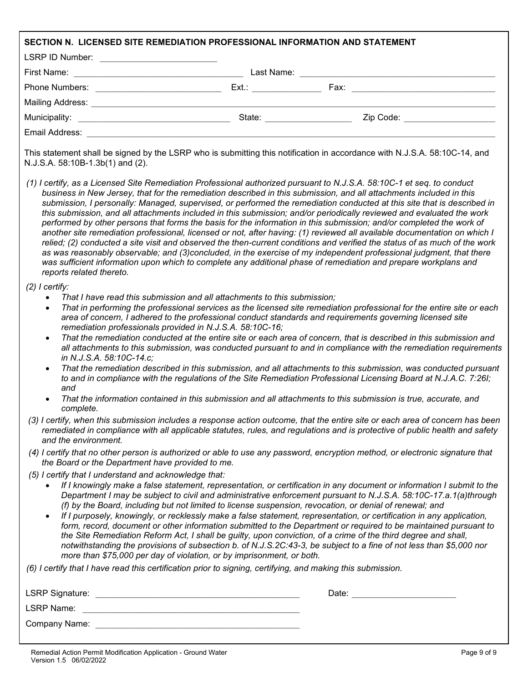| SECTION N. LICENSED SITE REMEDIATION PROFESSIONAL INFORMATION AND STATEMENT                                                                                                                                                                                                |                                                                                                                                                                                                                                                                                                                                                                                                                                                                                                                                                                                                                                                                                                                                                                                                                                                                                                                                                                                                                                                                                                                                |
|----------------------------------------------------------------------------------------------------------------------------------------------------------------------------------------------------------------------------------------------------------------------------|--------------------------------------------------------------------------------------------------------------------------------------------------------------------------------------------------------------------------------------------------------------------------------------------------------------------------------------------------------------------------------------------------------------------------------------------------------------------------------------------------------------------------------------------------------------------------------------------------------------------------------------------------------------------------------------------------------------------------------------------------------------------------------------------------------------------------------------------------------------------------------------------------------------------------------------------------------------------------------------------------------------------------------------------------------------------------------------------------------------------------------|
| LSRP ID Number: __________________________                                                                                                                                                                                                                                 |                                                                                                                                                                                                                                                                                                                                                                                                                                                                                                                                                                                                                                                                                                                                                                                                                                                                                                                                                                                                                                                                                                                                |
|                                                                                                                                                                                                                                                                            |                                                                                                                                                                                                                                                                                                                                                                                                                                                                                                                                                                                                                                                                                                                                                                                                                                                                                                                                                                                                                                                                                                                                |
|                                                                                                                                                                                                                                                                            |                                                                                                                                                                                                                                                                                                                                                                                                                                                                                                                                                                                                                                                                                                                                                                                                                                                                                                                                                                                                                                                                                                                                |
|                                                                                                                                                                                                                                                                            |                                                                                                                                                                                                                                                                                                                                                                                                                                                                                                                                                                                                                                                                                                                                                                                                                                                                                                                                                                                                                                                                                                                                |
|                                                                                                                                                                                                                                                                            |                                                                                                                                                                                                                                                                                                                                                                                                                                                                                                                                                                                                                                                                                                                                                                                                                                                                                                                                                                                                                                                                                                                                |
| Email Address: 2008. 2009. 2009. 2010. 2010. 2010. 2010. 2010. 2010. 2010. 2010. 2010. 2010. 2010. 2010. 2010                                                                                                                                                              |                                                                                                                                                                                                                                                                                                                                                                                                                                                                                                                                                                                                                                                                                                                                                                                                                                                                                                                                                                                                                                                                                                                                |
| N.J.S.A. 58:10B-1.3b(1) and (2).                                                                                                                                                                                                                                           | This statement shall be signed by the LSRP who is submitting this notification in accordance with N.J.S.A. 58:10C-14, and                                                                                                                                                                                                                                                                                                                                                                                                                                                                                                                                                                                                                                                                                                                                                                                                                                                                                                                                                                                                      |
| reports related thereto.                                                                                                                                                                                                                                                   | (1) I certify, as a Licensed Site Remediation Professional authorized pursuant to N.J.S.A. 58:10C-1 et seq. to conduct<br>business in New Jersey, that for the remediation described in this submission, and all attachments included in this<br>submission, I personally: Managed, supervised, or performed the remediation conducted at this site that is described in<br>this submission, and all attachments included in this submission; and/or periodically reviewed and evaluated the work<br>performed by other persons that forms the basis for the information in this submission; and/or completed the work of<br>another site remediation professional, licensed or not, after having: (1) reviewed all available documentation on which I<br>relied; (2) conducted a site visit and observed the then-current conditions and verified the status of as much of the work<br>as was reasonably observable; and (3)concluded, in the exercise of my independent professional judgment, that there<br>was sufficient information upon which to complete any additional phase of remediation and prepare workplans and |
| $(2)$ I certify:<br>That I have read this submission and all attachments to this submission;<br>$\bullet$<br>$\bullet$<br>remediation professionals provided in N.J.S.A. 58:10C-16;<br>$\bullet$<br>in N.J.S.A. 58:10C-14.c;<br>$\bullet$<br>and<br>$\bullet$<br>complete. | That in performing the professional services as the licensed site remediation professional for the entire site or each<br>area of concern, I adhered to the professional conduct standards and requirements governing licensed site<br>That the remediation conducted at the entire site or each area of concern, that is described in this submission and<br>all attachments to this submission, was conducted pursuant to and in compliance with the remediation requirements<br>That the remediation described in this submission, and all attachments to this submission, was conducted pursuant<br>to and in compliance with the regulations of the Site Remediation Professional Licensing Board at N.J.A.C. 7:26I;<br>That the information contained in this submission and all attachments to this submission is true, accurate, and<br>(3) I certify, when this submission includes a response action outcome, that the entire site or each area of concern has been<br>remediated in compliance with all applicable statutes, rules, and regulations and is protective of public health and safety                   |
| and the environment.<br>the Board or the Department have provided to me.                                                                                                                                                                                                   | (4) I certify that no other person is authorized or able to use any password, encryption method, or electronic signature that                                                                                                                                                                                                                                                                                                                                                                                                                                                                                                                                                                                                                                                                                                                                                                                                                                                                                                                                                                                                  |
| (5) I certify that I understand and acknowledge that:<br>$\bullet$<br>more than \$75,000 per day of violation, or by imprisonment, or both.<br>(6) I certify that I have read this certification prior to signing, certifying, and making this submission.                 | If I knowingly make a false statement, representation, or certification in any document or information I submit to the<br>Department I may be subject to civil and administrative enforcement pursuant to N.J.S.A. 58:10C-17.a.1(a)through<br>(f) by the Board, including but not limited to license suspension, revocation, or denial of renewal; and<br>If I purposely, knowingly, or recklessly make a false statement, representation, or certification in any application,<br>form, record, document or other information submitted to the Department or required to be maintained pursuant to<br>the Site Remediation Reform Act, I shall be guilty, upon conviction, of a crime of the third degree and shall,<br>notwithstanding the provisions of subsection b. of N.J.S.2C:43-3, be subject to a fine of not less than \$5,000 nor                                                                                                                                                                                                                                                                                   |
|                                                                                                                                                                                                                                                                            |                                                                                                                                                                                                                                                                                                                                                                                                                                                                                                                                                                                                                                                                                                                                                                                                                                                                                                                                                                                                                                                                                                                                |
|                                                                                                                                                                                                                                                                            |                                                                                                                                                                                                                                                                                                                                                                                                                                                                                                                                                                                                                                                                                                                                                                                                                                                                                                                                                                                                                                                                                                                                |
| <b>LSRP Name:</b>                                                                                                                                                                                                                                                          |                                                                                                                                                                                                                                                                                                                                                                                                                                                                                                                                                                                                                                                                                                                                                                                                                                                                                                                                                                                                                                                                                                                                |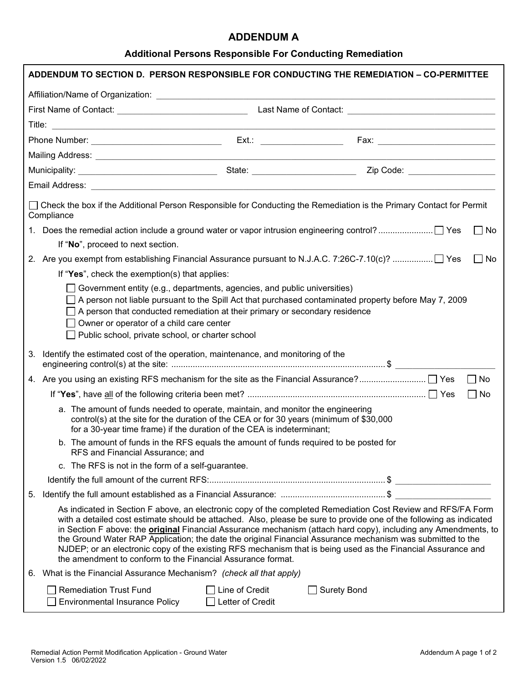#### **ADDENDUM A**

## **Additional Persons Responsible For Conducting Remediation**

| □ Check the box if the Additional Person Responsible for Conducting the Remediation is the Primary Contact for Permit<br>Compliance |                                                                                                                                                                                                                                                                                                                                                |                                                                                                                                                                                                                                                                                                                                                                                                                                                                                                                                                                                             |           |
|-------------------------------------------------------------------------------------------------------------------------------------|------------------------------------------------------------------------------------------------------------------------------------------------------------------------------------------------------------------------------------------------------------------------------------------------------------------------------------------------|---------------------------------------------------------------------------------------------------------------------------------------------------------------------------------------------------------------------------------------------------------------------------------------------------------------------------------------------------------------------------------------------------------------------------------------------------------------------------------------------------------------------------------------------------------------------------------------------|-----------|
|                                                                                                                                     |                                                                                                                                                                                                                                                                                                                                                |                                                                                                                                                                                                                                                                                                                                                                                                                                                                                                                                                                                             | $\Box$ No |
| If "No", proceed to next section.                                                                                                   |                                                                                                                                                                                                                                                                                                                                                |                                                                                                                                                                                                                                                                                                                                                                                                                                                                                                                                                                                             |           |
| 2. Are you exempt from establishing Financial Assurance pursuant to N.J.A.C. 7:26C-7.10(c)? □ Yes                                   |                                                                                                                                                                                                                                                                                                                                                |                                                                                                                                                                                                                                                                                                                                                                                                                                                                                                                                                                                             | No        |
| If "Yes", check the exemption(s) that applies:                                                                                      |                                                                                                                                                                                                                                                                                                                                                |                                                                                                                                                                                                                                                                                                                                                                                                                                                                                                                                                                                             |           |
| Owner or operator of a child care center<br>Public school, private school, or charter school                                        | Government entity (e.g., departments, agencies, and public universities)<br>$\Box$ A person that conducted remediation at their primary or secondary residence                                                                                                                                                                                 | $\Box$ A person not liable pursuant to the Spill Act that purchased contaminated property before May 7, 2009                                                                                                                                                                                                                                                                                                                                                                                                                                                                                |           |
| Identify the estimated cost of the operation, maintenance, and monitoring of the<br>3.                                              |                                                                                                                                                                                                                                                                                                                                                |                                                                                                                                                                                                                                                                                                                                                                                                                                                                                                                                                                                             |           |
|                                                                                                                                     |                                                                                                                                                                                                                                                                                                                                                |                                                                                                                                                                                                                                                                                                                                                                                                                                                                                                                                                                                             | $\Box$ No |
|                                                                                                                                     |                                                                                                                                                                                                                                                                                                                                                |                                                                                                                                                                                                                                                                                                                                                                                                                                                                                                                                                                                             | $\Box$ No |
|                                                                                                                                     | a. The amount of funds needed to operate, maintain, and monitor the engineering<br>control(s) at the site for the duration of the CEA or for 30 years (minimum of \$30,000<br>for a 30-year time frame) if the duration of the CEA is indeterminant;<br>b. The amount of funds in the RFS equals the amount of funds required to be posted for |                                                                                                                                                                                                                                                                                                                                                                                                                                                                                                                                                                                             |           |
| RFS and Financial Assurance; and                                                                                                    |                                                                                                                                                                                                                                                                                                                                                |                                                                                                                                                                                                                                                                                                                                                                                                                                                                                                                                                                                             |           |
| c. The RFS is not in the form of a self-guarantee.                                                                                  |                                                                                                                                                                                                                                                                                                                                                |                                                                                                                                                                                                                                                                                                                                                                                                                                                                                                                                                                                             |           |
|                                                                                                                                     |                                                                                                                                                                                                                                                                                                                                                |                                                                                                                                                                                                                                                                                                                                                                                                                                                                                                                                                                                             |           |
| 5.                                                                                                                                  | the amendment to conform to the Financial Assurance format.                                                                                                                                                                                                                                                                                    | As indicated in Section F above, an electronic copy of the completed Remediation Cost Review and RFS/FA Form<br>with a detailed cost estimate should be attached. Also, please be sure to provide one of the following as indicated<br>in Section F above: the <b>original</b> Financial Assurance mechanism (attach hard copy), including any Amendments, to<br>the Ground Water RAP Application; the date the original Financial Assurance mechanism was submitted to the<br>NJDEP; or an electronic copy of the existing RFS mechanism that is being used as the Financial Assurance and |           |
| What is the Financial Assurance Mechanism? (check all that apply)<br>6.                                                             |                                                                                                                                                                                                                                                                                                                                                |                                                                                                                                                                                                                                                                                                                                                                                                                                                                                                                                                                                             |           |
| <b>Remediation Trust Fund</b><br>Environmental Insurance Policy                                                                     | Line of Credit<br>Letter of Credit                                                                                                                                                                                                                                                                                                             | <b>Surety Bond</b>                                                                                                                                                                                                                                                                                                                                                                                                                                                                                                                                                                          |           |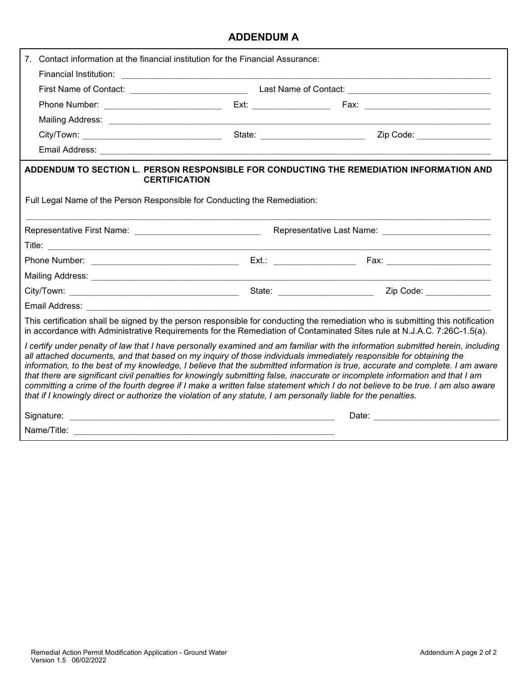### **ADDENDUM A**

| Contact information at the financial institution for the Financial Assurance:                                                                                                                                                                                                                                                                                                                                                                                                                                                                                                                                                                                                                                                                                                 |  |  |  |
|-------------------------------------------------------------------------------------------------------------------------------------------------------------------------------------------------------------------------------------------------------------------------------------------------------------------------------------------------------------------------------------------------------------------------------------------------------------------------------------------------------------------------------------------------------------------------------------------------------------------------------------------------------------------------------------------------------------------------------------------------------------------------------|--|--|--|
|                                                                                                                                                                                                                                                                                                                                                                                                                                                                                                                                                                                                                                                                                                                                                                               |  |  |  |
|                                                                                                                                                                                                                                                                                                                                                                                                                                                                                                                                                                                                                                                                                                                                                                               |  |  |  |
|                                                                                                                                                                                                                                                                                                                                                                                                                                                                                                                                                                                                                                                                                                                                                                               |  |  |  |
|                                                                                                                                                                                                                                                                                                                                                                                                                                                                                                                                                                                                                                                                                                                                                                               |  |  |  |
|                                                                                                                                                                                                                                                                                                                                                                                                                                                                                                                                                                                                                                                                                                                                                                               |  |  |  |
|                                                                                                                                                                                                                                                                                                                                                                                                                                                                                                                                                                                                                                                                                                                                                                               |  |  |  |
| ADDENDUM TO SECTION L. PERSON RESPONSIBLE FOR CONDUCTING THE REMEDIATION INFORMATION AND<br><b>CERTIFICATION</b>                                                                                                                                                                                                                                                                                                                                                                                                                                                                                                                                                                                                                                                              |  |  |  |
| Full Legal Name of the Person Responsible for Conducting the Remediation:                                                                                                                                                                                                                                                                                                                                                                                                                                                                                                                                                                                                                                                                                                     |  |  |  |
|                                                                                                                                                                                                                                                                                                                                                                                                                                                                                                                                                                                                                                                                                                                                                                               |  |  |  |
|                                                                                                                                                                                                                                                                                                                                                                                                                                                                                                                                                                                                                                                                                                                                                                               |  |  |  |
|                                                                                                                                                                                                                                                                                                                                                                                                                                                                                                                                                                                                                                                                                                                                                                               |  |  |  |
|                                                                                                                                                                                                                                                                                                                                                                                                                                                                                                                                                                                                                                                                                                                                                                               |  |  |  |
|                                                                                                                                                                                                                                                                                                                                                                                                                                                                                                                                                                                                                                                                                                                                                                               |  |  |  |
| Email Address: No. 2008. Communication of the Second Line of the Second Line of the Second Line of the Second Line of the Second Line of the Second Line of the Second Line of the Second Line of the Second Line of the Secon                                                                                                                                                                                                                                                                                                                                                                                                                                                                                                                                                |  |  |  |
| This certification shall be signed by the person responsible for conducting the remediation who is submitting this notification<br>in accordance with Administrative Requirements for the Remediation of Contaminated Sites rule at N.J.A.C. 7:26C-1.5(a).                                                                                                                                                                                                                                                                                                                                                                                                                                                                                                                    |  |  |  |
| I certify under penalty of law that I have personally examined and am familiar with the information submitted herein, including<br>all attached documents, and that based on my inquiry of those individuals immediately responsible for obtaining the<br>information, to the best of my knowledge, I believe that the submitted information is true, accurate and complete. I am aware<br>that there are significant civil penalties for knowingly submitting false, inaccurate or incomplete information and that I am<br>committing a crime of the fourth degree if I make a written false statement which I do not believe to be true. I am also aware<br>that if I knowingly direct or authorize the violation of any statute, I am personally liable for the penalties. |  |  |  |
|                                                                                                                                                                                                                                                                                                                                                                                                                                                                                                                                                                                                                                                                                                                                                                               |  |  |  |
| Name/Title: <u>Communications</u>                                                                                                                                                                                                                                                                                                                                                                                                                                                                                                                                                                                                                                                                                                                                             |  |  |  |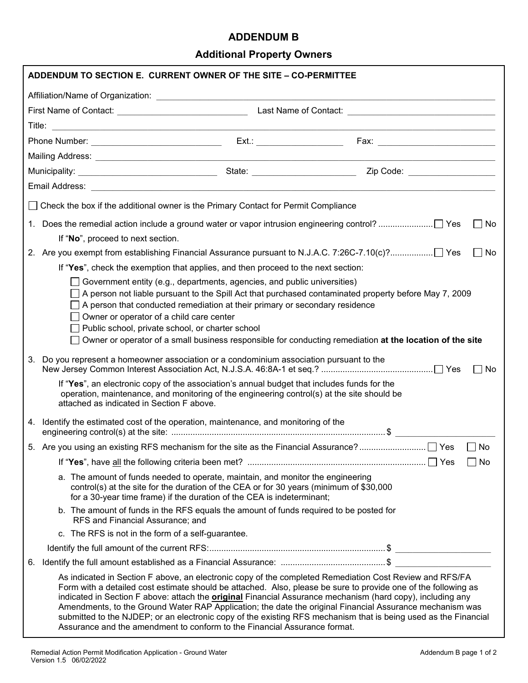#### **ADDENDUM B**

# **Additional Property Owners**

|    | ADDENDUM TO SECTION E. CURRENT OWNER OF THE SITE - CO-PERMITTEE                                                                                                                                                                                                                                                                                                                                                                                                              |  |                                                                                                                                                                                                                                                                                                                                                                                                                                                                                                                                                                               |  |                    |
|----|------------------------------------------------------------------------------------------------------------------------------------------------------------------------------------------------------------------------------------------------------------------------------------------------------------------------------------------------------------------------------------------------------------------------------------------------------------------------------|--|-------------------------------------------------------------------------------------------------------------------------------------------------------------------------------------------------------------------------------------------------------------------------------------------------------------------------------------------------------------------------------------------------------------------------------------------------------------------------------------------------------------------------------------------------------------------------------|--|--------------------|
|    |                                                                                                                                                                                                                                                                                                                                                                                                                                                                              |  |                                                                                                                                                                                                                                                                                                                                                                                                                                                                                                                                                                               |  |                    |
|    |                                                                                                                                                                                                                                                                                                                                                                                                                                                                              |  |                                                                                                                                                                                                                                                                                                                                                                                                                                                                                                                                                                               |  |                    |
|    |                                                                                                                                                                                                                                                                                                                                                                                                                                                                              |  |                                                                                                                                                                                                                                                                                                                                                                                                                                                                                                                                                                               |  |                    |
|    |                                                                                                                                                                                                                                                                                                                                                                                                                                                                              |  |                                                                                                                                                                                                                                                                                                                                                                                                                                                                                                                                                                               |  |                    |
|    |                                                                                                                                                                                                                                                                                                                                                                                                                                                                              |  |                                                                                                                                                                                                                                                                                                                                                                                                                                                                                                                                                                               |  |                    |
|    |                                                                                                                                                                                                                                                                                                                                                                                                                                                                              |  |                                                                                                                                                                                                                                                                                                                                                                                                                                                                                                                                                                               |  |                    |
|    |                                                                                                                                                                                                                                                                                                                                                                                                                                                                              |  |                                                                                                                                                                                                                                                                                                                                                                                                                                                                                                                                                                               |  |                    |
|    | Check the box if the additional owner is the Primary Contact for Permit Compliance                                                                                                                                                                                                                                                                                                                                                                                           |  |                                                                                                                                                                                                                                                                                                                                                                                                                                                                                                                                                                               |  |                    |
|    |                                                                                                                                                                                                                                                                                                                                                                                                                                                                              |  |                                                                                                                                                                                                                                                                                                                                                                                                                                                                                                                                                                               |  | l INo              |
|    | If "No", proceed to next section.                                                                                                                                                                                                                                                                                                                                                                                                                                            |  |                                                                                                                                                                                                                                                                                                                                                                                                                                                                                                                                                                               |  |                    |
|    |                                                                                                                                                                                                                                                                                                                                                                                                                                                                              |  |                                                                                                                                                                                                                                                                                                                                                                                                                                                                                                                                                                               |  | No<br>$\mathbf{1}$ |
|    | If "Yes", check the exemption that applies, and then proceed to the next section:                                                                                                                                                                                                                                                                                                                                                                                            |  |                                                                                                                                                                                                                                                                                                                                                                                                                                                                                                                                                                               |  |                    |
|    | Government entity (e.g., departments, agencies, and public universities)<br>A person not liable pursuant to the Spill Act that purchased contaminated property before May 7, 2009<br>A person that conducted remediation at their primary or secondary residence<br>Owner or operator of a child care center<br>Public school, private school, or charter school<br>Owner or operator of a small business responsible for conducting remediation at the location of the site |  |                                                                                                                                                                                                                                                                                                                                                                                                                                                                                                                                                                               |  |                    |
| 3. | Do you represent a homeowner association or a condominium association pursuant to the                                                                                                                                                                                                                                                                                                                                                                                        |  |                                                                                                                                                                                                                                                                                                                                                                                                                                                                                                                                                                               |  | No<br>$\perp$      |
|    | If "Yes", an electronic copy of the association's annual budget that includes funds for the<br>operation, maintenance, and monitoring of the engineering control(s) at the site should be<br>attached as indicated in Section F above.                                                                                                                                                                                                                                       |  |                                                                                                                                                                                                                                                                                                                                                                                                                                                                                                                                                                               |  |                    |
|    | 4. Identify the estimated cost of the operation, maintenance, and monitoring of the                                                                                                                                                                                                                                                                                                                                                                                          |  |                                                                                                                                                                                                                                                                                                                                                                                                                                                                                                                                                                               |  |                    |
|    |                                                                                                                                                                                                                                                                                                                                                                                                                                                                              |  |                                                                                                                                                                                                                                                                                                                                                                                                                                                                                                                                                                               |  | $\Box$ No          |
|    |                                                                                                                                                                                                                                                                                                                                                                                                                                                                              |  |                                                                                                                                                                                                                                                                                                                                                                                                                                                                                                                                                                               |  | $\sqcap$ No        |
|    | a. The amount of funds needed to operate, maintain, and monitor the engineering<br>control(s) at the site for the duration of the CEA or for 30 years (minimum of \$30,000<br>for a 30-year time frame) if the duration of the CEA is indeterminant;                                                                                                                                                                                                                         |  |                                                                                                                                                                                                                                                                                                                                                                                                                                                                                                                                                                               |  |                    |
|    | b. The amount of funds in the RFS equals the amount of funds required to be posted for<br>RFS and Financial Assurance; and                                                                                                                                                                                                                                                                                                                                                   |  |                                                                                                                                                                                                                                                                                                                                                                                                                                                                                                                                                                               |  |                    |
|    | c. The RFS is not in the form of a self-guarantee.                                                                                                                                                                                                                                                                                                                                                                                                                           |  |                                                                                                                                                                                                                                                                                                                                                                                                                                                                                                                                                                               |  |                    |
|    |                                                                                                                                                                                                                                                                                                                                                                                                                                                                              |  |                                                                                                                                                                                                                                                                                                                                                                                                                                                                                                                                                                               |  |                    |
| 6. |                                                                                                                                                                                                                                                                                                                                                                                                                                                                              |  |                                                                                                                                                                                                                                                                                                                                                                                                                                                                                                                                                                               |  |                    |
|    | Assurance and the amendment to conform to the Financial Assurance format.                                                                                                                                                                                                                                                                                                                                                                                                    |  | As indicated in Section F above, an electronic copy of the completed Remediation Cost Review and RFS/FA<br>Form with a detailed cost estimate should be attached. Also, please be sure to provide one of the following as<br>indicated in Section F above: attach the <b>original</b> Financial Assurance mechanism (hard copy), including any<br>Amendments, to the Ground Water RAP Application; the date the original Financial Assurance mechanism was<br>submitted to the NJDEP; or an electronic copy of the existing RFS mechanism that is being used as the Financial |  |                    |